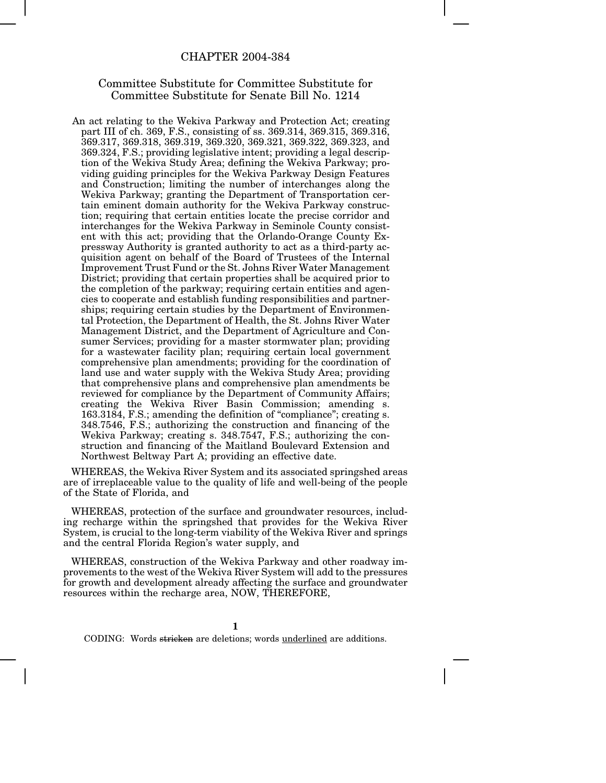### CHAPTER 2004-384

## Committee Substitute for Committee Substitute for Committee Substitute for Senate Bill No. 1214

An act relating to the Wekiva Parkway and Protection Act; creating part III of ch. 369, F.S., consisting of ss. 369.314, 369.315, 369.316, 369.317, 369.318, 369.319, 369.320, 369.321, 369.322, 369.323, and 369.324, F.S.; providing legislative intent; providing a legal description of the Wekiva Study Area; defining the Wekiva Parkway; providing guiding principles for the Wekiva Parkway Design Features and Construction; limiting the number of interchanges along the Wekiva Parkway; granting the Department of Transportation certain eminent domain authority for the Wekiva Parkway construction; requiring that certain entities locate the precise corridor and interchanges for the Wekiva Parkway in Seminole County consistent with this act; providing that the Orlando-Orange County Expressway Authority is granted authority to act as a third-party acquisition agent on behalf of the Board of Trustees of the Internal Improvement Trust Fund or the St. Johns River Water Management District; providing that certain properties shall be acquired prior to the completion of the parkway; requiring certain entities and agencies to cooperate and establish funding responsibilities and partnerships; requiring certain studies by the Department of Environmental Protection, the Department of Health, the St. Johns River Water Management District, and the Department of Agriculture and Consumer Services; providing for a master stormwater plan; providing for a wastewater facility plan; requiring certain local government comprehensive plan amendments; providing for the coordination of land use and water supply with the Wekiva Study Area; providing that comprehensive plans and comprehensive plan amendments be reviewed for compliance by the Department of Community Affairs; creating the Wekiva River Basin Commission; amending s. 163.3184, F.S.; amending the definition of "compliance"; creating s. 348.7546, F.S.; authorizing the construction and financing of the Wekiva Parkway; creating s. 348.7547, F.S.; authorizing the construction and financing of the Maitland Boulevard Extension and Northwest Beltway Part A; providing an effective date.

WHEREAS, the Wekiva River System and its associated springshed areas are of irreplaceable value to the quality of life and well-being of the people of the State of Florida, and

WHEREAS, protection of the surface and groundwater resources, including recharge within the springshed that provides for the Wekiva River System, is crucial to the long-term viability of the Wekiva River and springs and the central Florida Region's water supply, and

WHEREAS, construction of the Wekiva Parkway and other roadway improvements to the west of the Wekiva River System will add to the pressures for growth and development already affecting the surface and groundwater resources within the recharge area, NOW, THEREFORE,

**1**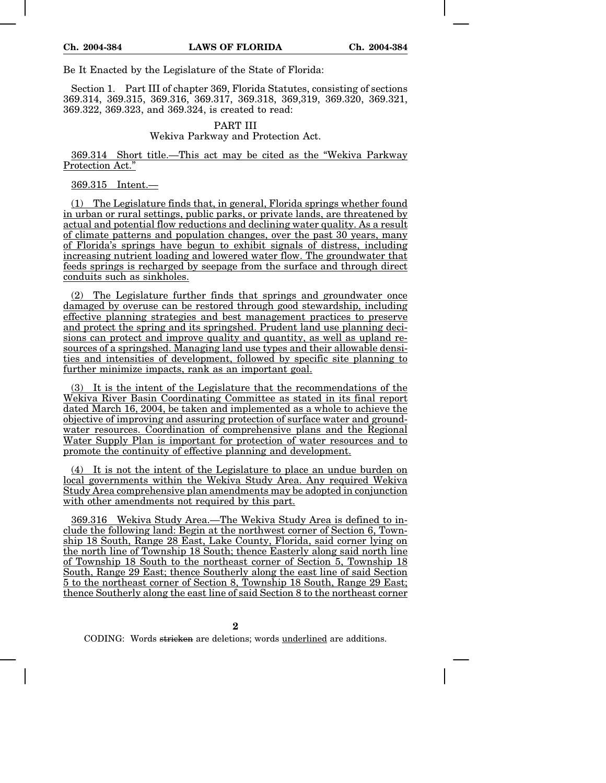Be It Enacted by the Legislature of the State of Florida:

Section 1. Part III of chapter 369, Florida Statutes, consisting of sections 369.314, 369.315, 369.316, 369.317, 369.318, 369,319, 369.320, 369.321, 369.322, 369.323, and 369.324, is created to read:

# PART III

Wekiva Parkway and Protection Act.

369.314 Short title.—This act may be cited as the "Wekiva Parkway Protection Act."

### 369.315 Intent.—

(1) The Legislature finds that, in general, Florida springs whether found in urban or rural settings, public parks, or private lands, are threatened by actual and potential flow reductions and declining water quality. As a result of climate patterns and population changes, over the past 30 years, many of Florida's springs have begun to exhibit signals of distress, including increasing nutrient loading and lowered water flow. The groundwater that feeds springs is recharged by seepage from the surface and through direct conduits such as sinkholes.

(2) The Legislature further finds that springs and groundwater once damaged by overuse can be restored through good stewardship, including effective planning strategies and best management practices to preserve and protect the spring and its springshed. Prudent land use planning decisions can protect and improve quality and quantity, as well as upland resources of a springshed. Managing land use types and their allowable densities and intensities of development, followed by specific site planning to further minimize impacts, rank as an important goal.

(3) It is the intent of the Legislature that the recommendations of the Wekiva River Basin Coordinating Committee as stated in its final report dated March 16, 2004, be taken and implemented as a whole to achieve the objective of improving and assuring protection of surface water and groundwater resources. Coordination of comprehensive plans and the Regional Water Supply Plan is important for protection of water resources and to promote the continuity of effective planning and development.

(4) It is not the intent of the Legislature to place an undue burden on local governments within the Wekiva Study Area. Any required Wekiva Study Area comprehensive plan amendments may be adopted in conjunction with other amendments not required by this part.

369.316 Wekiva Study Area.—The Wekiva Study Area is defined to include the following land: Begin at the northwest corner of Section 6, Township 18 South, Range 28 East, Lake County, Florida, said corner lying on the north line of Township 18 South; thence Easterly along said north line of Township 18 South to the northeast corner of Section 5, Township 18 South, Range 29 East; thence Southerly along the east line of said Section 5 to the northeast corner of Section 8, Township 18 South, Range 29 East; thence Southerly along the east line of said Section 8 to the northeast corner

**2**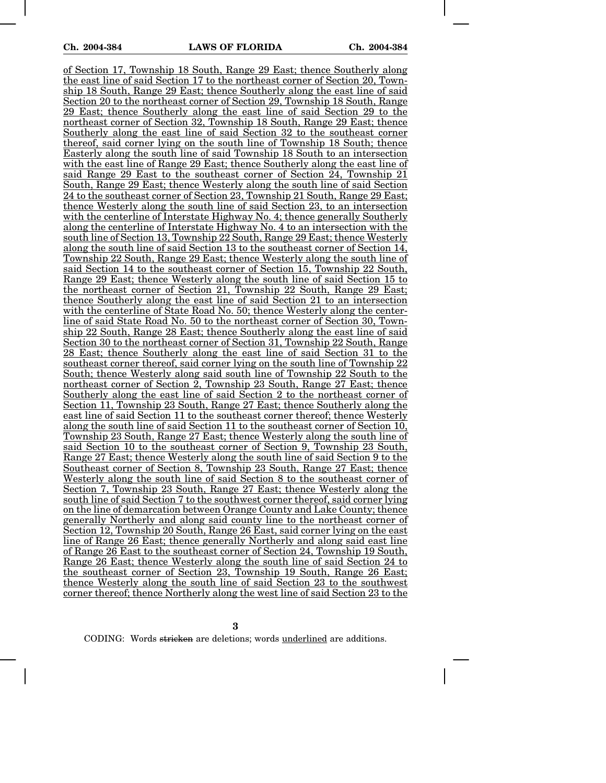of Section 17, Township 18 South, Range 29 East; thence Southerly along the east line of said Section 17 to the northeast corner of Section 20, Township 18 South, Range 29 East; thence Southerly along the east line of said Section 20 to the northeast corner of Section 29, Township 18 South, Range 29 East; thence Southerly along the east line of said Section 29 to the northeast corner of Section 32, Township 18 South, Range 29 East; thence Southerly along the east line of said Section 32 to the southeast corner thereof, said corner lying on the south line of Township 18 South; thence Easterly along the south line of said Township 18 South to an intersection with the east line of Range 29 East; thence Southerly along the east line of said Range 29 East to the southeast corner of Section 24, Township 21 South, Range 29 East; thence Westerly along the south line of said Section 24 to the southeast corner of Section 23, Township 21 South, Range 29 East; thence Westerly along the south line of said Section 23, to an intersection with the centerline of Interstate Highway No. 4; thence generally Southerly along the centerline of Interstate Highway No. 4 to an intersection with the south line of Section 13, Township 22 South, Range 29 East; thence Westerly along the south line of said Section 13 to the southeast corner of Section 14, Township 22 South, Range 29 East; thence Westerly along the south line of said Section 14 to the southeast corner of Section 15, Township 22 South, Range 29 East; thence Westerly along the south line of said Section 15 to the northeast corner of Section 21, Township 22 South, Range 29 East; thence Southerly along the east line of said Section 21 to an intersection with the centerline of State Road No. 50; thence Westerly along the centerline of said State Road No. 50 to the northeast corner of Section 30, Township 22 South, Range 28 East; thence Southerly along the east line of said Section 30 to the northeast corner of Section 31, Township 22 South, Range 28 East; thence Southerly along the east line of said Section 31 to the southeast corner thereof, said corner lying on the south line of Township 22 South; thence Westerly along said south line of Township 22 South to the northeast corner of Section 2, Township 23 South, Range 27 East; thence Southerly along the east line of said Section 2 to the northeast corner of Section 11, Township 23 South, Range 27 East; thence Southerly along the east line of said Section 11 to the southeast corner thereof; thence Westerly along the south line of said Section 11 to the southeast corner of Section 10, Township 23 South, Range 27 East; thence Westerly along the south line of said Section 10 to the southeast corner of Section 9, Township 23 South, Range 27 East; thence Westerly along the south line of said Section 9 to the Southeast corner of Section 8, Township 23 South, Range 27 East; thence Westerly along the south line of said Section 8 to the southeast corner of Section 7, Township 23 South, Range 27 East; thence Westerly along the south line of said Section 7 to the southwest corner thereof, said corner lying on the line of demarcation between Orange County and Lake County; thence generally Northerly and along said county line to the northeast corner of Section 12, Township 20 South, Range 26 East, said corner lying on the east line of Range 26 East; thence generally Northerly and along said east line of Range  $26$  East to the southeast corner of Section 24, Township 19 South, Range 26 East; thence Westerly along the south line of said Section 24 to the southeast corner of Section 23, Township 19 South, Range 26 East; thence Westerly along the south line of said Section 23 to the southwest corner thereof; thence Northerly along the west line of said Section 23 to the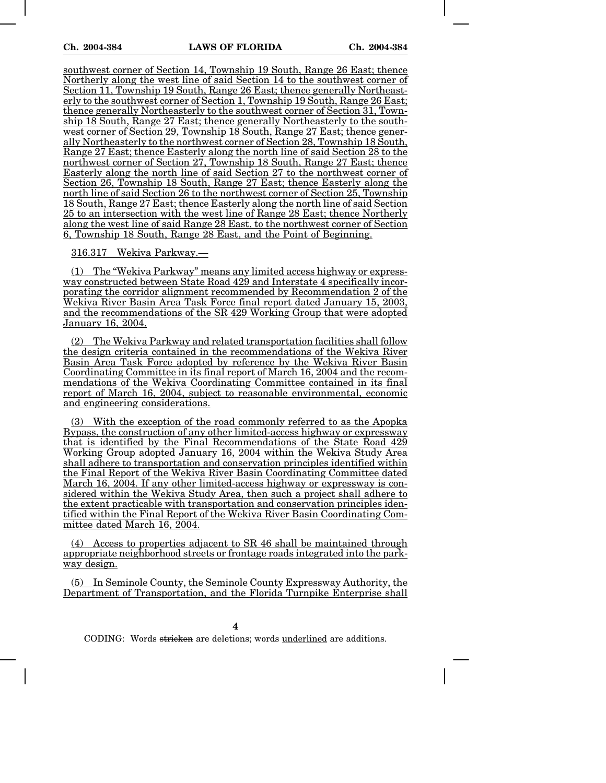southwest corner of Section 14, Township 19 South, Range 26 East; thence Northerly along the west line of said Section 14 to the southwest corner of Section 11, Township 19 South, Range 26 East; thence generally Northeasterly to the southwest corner of Section 1, Township 19 South, Range 26 East; thence generally Northeasterly to the southwest corner of Section 31, Township 18 South, Range 27 East; thence generally Northeasterly to the southwest corner of Section 29, Township 18 South, Range 27 East; thence generally Northeasterly to the northwest corner of Section 28, Township 18 South, Range 27 East; thence Easterly along the north line of said Section 28 to the northwest corner of Section 27, Township 18 South, Range 27 East; thence Easterly along the north line of said Section 27 to the northwest corner of Section 26, Township 18 South, Range 27 East; thence Easterly along the north line of said Section 26 to the northwest corner of Section 25, Township 18 South, Range 27 East; thence Easterly along the north line of said Section 25 to an intersection with the west line of Range 28 East; thence Northerly along the west line of said Range 28 East, to the northwest corner of Section 6, Township 18 South, Range 28 East, and the Point of Beginning.

316.317 Wekiva Parkway.—

(1) The "Wekiva Parkway" means any limited access highway or expressway constructed between State Road 429 and Interstate 4 specifically incorporating the corridor alignment recommended by Recommendation 2 of the Wekiva River Basin Area Task Force final report dated January 15, 2003, and the recommendations of the SR 429 Working Group that were adopted January 16, 2004.

(2) The Wekiva Parkway and related transportation facilities shall follow the design criteria contained in the recommendations of the Wekiva River Basin Area Task Force adopted by reference by the Wekiva River Basin Coordinating Committee in its final report of March 16, 2004 and the recommendations of the Wekiva Coordinating Committee contained in its final report of March 16, 2004, subject to reasonable environmental, economic and engineering considerations.

(3) With the exception of the road commonly referred to as the Apopka Bypass, the construction of any other limited-access highway or expressway that is identified by the Final Recommendations of the State Road 429 Working Group adopted January 16, 2004 within the Wekiva Study Area shall adhere to transportation and conservation principles identified within the Final Report of the Wekiva River Basin Coordinating Committee dated March 16, 2004. If any other limited-access highway or expressway is considered within the Wekiva Study Area, then such a project shall adhere to the extent practicable with transportation and conservation principles identified within the Final Report of the Wekiva River Basin Coordinating Committee dated March 16, 2004.

(4) Access to properties adjacent to SR 46 shall be maintained through appropriate neighborhood streets or frontage roads integrated into the parkway design.

(5) In Seminole County, the Seminole County Expressway Authority, the Department of Transportation, and the Florida Turnpike Enterprise shall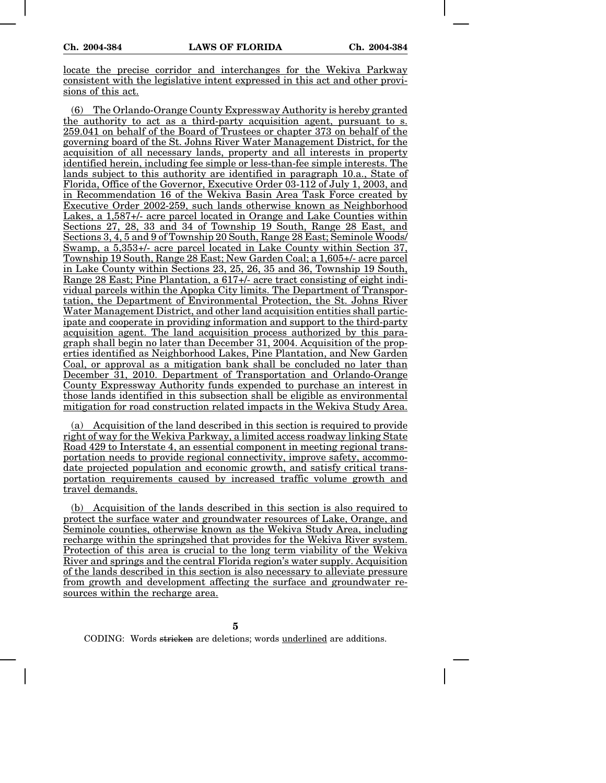locate the precise corridor and interchanges for the Wekiva Parkway consistent with the legislative intent expressed in this act and other provisions of this act.

(6) The Orlando-Orange County Expressway Authority is hereby granted the authority to act as a third-party acquisition agent, pursuant to s. 259.041 on behalf of the Board of Trustees or chapter 373 on behalf of the governing board of the St. Johns River Water Management District, for the acquisition of all necessary lands, property and all interests in property identified herein, including fee simple or less-than-fee simple interests. The lands subject to this authority are identified in paragraph 10.a., State of Florida, Office of the Governor, Executive Order 03-112 of July 1, 2003, and in Recommendation 16 of the Wekiva Basin Area Task Force created by Executive Order 2002-259, such lands otherwise known as Neighborhood Lakes, a 1,587+/- acre parcel located in Orange and Lake Counties within Sections 27, 28, 33 and 34 of Township 19 South, Range 28 East, and Sections 3, 4, 5 and 9 of Township 20 South, Range 28 East; Seminole Woods/ Swamp, a 5,353+/- acre parcel located in Lake County within Section 37, Township 19 South, Range 28 East; New Garden Coal; a 1,605+/- acre parcel in Lake County within Sections 23, 25, 26, 35 and 36, Township 19 South, Range 28 East; Pine Plantation, a 617+/- acre tract consisting of eight individual parcels within the Apopka City limits. The Department of Transportation, the Department of Environmental Protection, the St. Johns River Water Management District, and other land acquisition entities shall participate and cooperate in providing information and support to the third-party acquisition agent. The land acquisition process authorized by this paragraph shall begin no later than December 31, 2004. Acquisition of the properties identified as Neighborhood Lakes, Pine Plantation, and New Garden Coal, or approval as a mitigation bank shall be concluded no later than December 31, 2010. Department of Transportation and Orlando-Orange County Expressway Authority funds expended to purchase an interest in those lands identified in this subsection shall be eligible as environmental mitigation for road construction related impacts in the Wekiva Study Area.

(a) Acquisition of the land described in this section is required to provide right of way for the Wekiva Parkway, a limited access roadway linking State Road 429 to Interstate 4, an essential component in meeting regional transportation needs to provide regional connectivity, improve safety, accommodate projected population and economic growth, and satisfy critical transportation requirements caused by increased traffic volume growth and travel demands.

(b) Acquisition of the lands described in this section is also required to protect the surface water and groundwater resources of Lake, Orange, and Seminole counties, otherwise known as the Wekiva Study Area, including recharge within the springshed that provides for the Wekiva River system. Protection of this area is crucial to the long term viability of the Wekiva River and springs and the central Florida region's water supply. Acquisition of the lands described in this section is also necessary to alleviate pressure from growth and development affecting the surface and groundwater resources within the recharge area.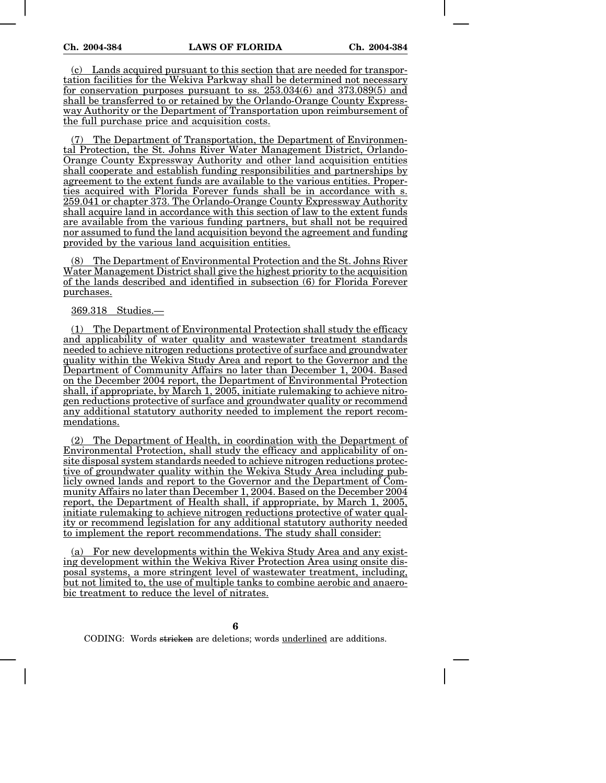(c) Lands acquired pursuant to this section that are needed for transportation facilities for the Wekiva Parkway shall be determined not necessary for conservation purposes pursuant to ss. 253.034(6) and 373.089(5) and shall be transferred to or retained by the Orlando-Orange County Expressway Authority or the Department of Transportation upon reimbursement of the full purchase price and acquisition costs.

The Department of Transportation, the Department of Environmental Protection, the St. Johns River Water Management District, Orlando-Orange County Expressway Authority and other land acquisition entities shall cooperate and establish funding responsibilities and partnerships by agreement to the extent funds are available to the various entities. Properties acquired with Florida Forever funds shall be in accordance with s. 259.041 or chapter 373. The Orlando-Orange County Expressway Authority shall acquire land in accordance with this section of law to the extent funds are available from the various funding partners, but shall not be required nor assumed to fund the land acquisition beyond the agreement and funding provided by the various land acquisition entities.

(8) The Department of Environmental Protection and the St. Johns River Water Management District shall give the highest priority to the acquisition of the lands described and identified in subsection (6) for Florida Forever purchases.

369.318 Studies.—

(1) The Department of Environmental Protection shall study the efficacy and applicability of water quality and wastewater treatment standards needed to achieve nitrogen reductions protective of surface and groundwater quality within the Wekiva Study Area and report to the Governor and the Department of Community Affairs no later than December 1, 2004. Based on the December 2004 report, the Department of Environmental Protection shall, if appropriate, by March 1, 2005, initiate rulemaking to achieve nitrogen reductions protective of surface and groundwater quality or recommend any additional statutory authority needed to implement the report recommendations.

(2) The Department of Health, in coordination with the Department of Environmental Protection, shall study the efficacy and applicability of onsite disposal system standards needed to achieve nitrogen reductions protective of groundwater quality within the Wekiva Study Area including publicly owned lands and report to the Governor and the Department of Community Affairs no later than December 1, 2004. Based on the December 2004 report, the Department of Health shall, if appropriate, by March 1, 2005, initiate rulemaking to achieve nitrogen reductions protective of water quality or recommend legislation for any additional statutory authority needed to implement the report recommendations. The study shall consider:

(a) For new developments within the Wekiva Study Area and any existing development within the Wekiva River Protection Area using onsite disposal systems, a more stringent level of wastewater treatment, including, but not limited to, the use of multiple tanks to combine aerobic and anaerobic treatment to reduce the level of nitrates.

**6**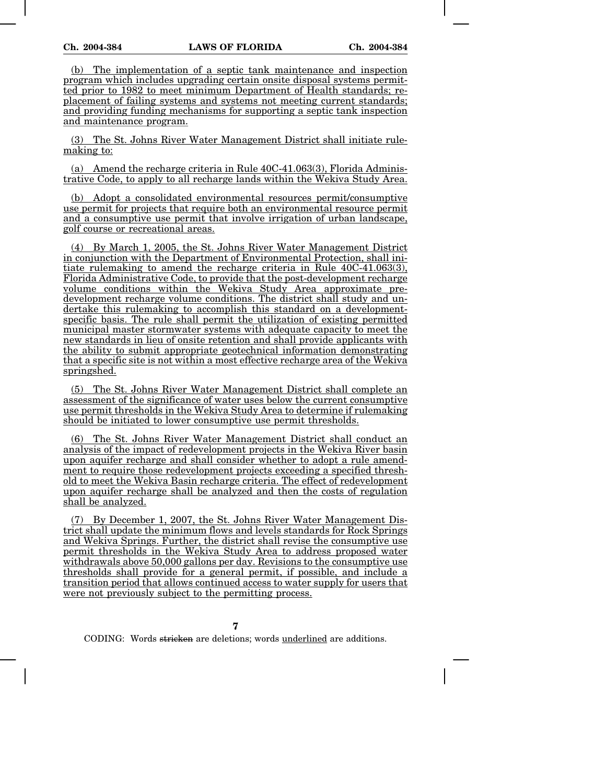(b) The implementation of a septic tank maintenance and inspection program which includes upgrading certain onsite disposal systems permitted prior to 1982 to meet minimum Department of Health standards; replacement of failing systems and systems not meeting current standards; and providing funding mechanisms for supporting a septic tank inspection and maintenance program.

(3) The St. Johns River Water Management District shall initiate rulemaking to:

(a) Amend the recharge criteria in Rule 40C-41.063(3), Florida Administrative Code, to apply to all recharge lands within the Wekiva Study Area.

(b) Adopt a consolidated environmental resources permit/consumptive use permit for projects that require both an environmental resource permit and a consumptive use permit that involve irrigation of urban landscape, golf course or recreational areas.

(4) By March 1, 2005, the St. Johns River Water Management District in conjunction with the Department of Environmental Protection, shall initiate rulemaking to amend the recharge criteria in Rule 40C-41.063(3), Florida Administrative Code, to provide that the post-development recharge volume conditions within the Wekiva Study Area approximate predevelopment recharge volume conditions. The district shall study and undertake this rulemaking to accomplish this standard on a developmentspecific basis. The rule shall permit the utilization of existing permitted municipal master stormwater systems with adequate capacity to meet the new standards in lieu of onsite retention and shall provide applicants with the ability to submit appropriate geotechnical information demonstrating that a specific site is not within a most effective recharge area of the Wekiva springshed.

(5) The St. Johns River Water Management District shall complete an assessment of the significance of water uses below the current consumptive use permit thresholds in the Wekiva Study Area to determine if rulemaking should be initiated to lower consumptive use permit thresholds.

(6) The St. Johns River Water Management District shall conduct an analysis of the impact of redevelopment projects in the Wekiva River basin upon aquifer recharge and shall consider whether to adopt a rule amendment to require those redevelopment projects exceeding a specified threshold to meet the Wekiva Basin recharge criteria. The effect of redevelopment upon aquifer recharge shall be analyzed and then the costs of regulation shall be analyzed.

(7) By December 1, 2007, the St. Johns River Water Management District shall update the minimum flows and levels standards for Rock Springs and Wekiva Springs. Further, the district shall revise the consumptive use permit thresholds in the Wekiva Study Area to address proposed water withdrawals above 50,000 gallons per day. Revisions to the consumptive use thresholds shall provide for a general permit, if possible, and include a transition period that allows continued access to water supply for users that were not previously subject to the permitting process.

**7**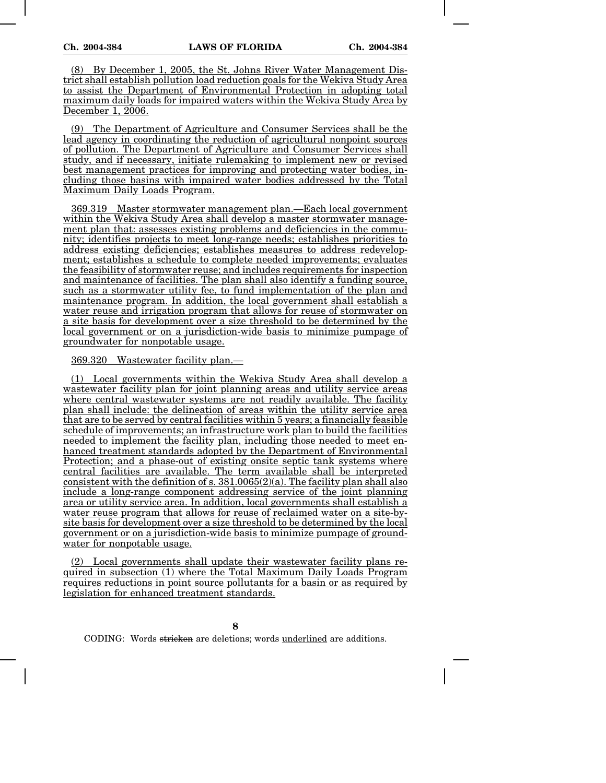(8) By December 1, 2005, the St. Johns River Water Management District shall establish pollution load reduction goals for the Wekiva Study Area to assist the Department of Environmental Protection in adopting total maximum daily loads for impaired waters within the Wekiva Study Area by December 1, 2006.

(9) The Department of Agriculture and Consumer Services shall be the lead agency in coordinating the reduction of agricultural nonpoint sources of pollution. The Department of Agriculture and Consumer Services shall study, and if necessary, initiate rulemaking to implement new or revised best management practices for improving and protecting water bodies, including those basins with impaired water bodies addressed by the Total Maximum Daily Loads Program.

369.319 Master stormwater management plan.—Each local government within the Wekiva Study Area shall develop a master stormwater management plan that: assesses existing problems and deficiencies in the community; identifies projects to meet long-range needs; establishes priorities to address existing deficiencies; establishes measures to address redevelopment; establishes a schedule to complete needed improvements; evaluates the feasibility of stormwater reuse; and includes requirements for inspection and maintenance of facilities. The plan shall also identify a funding source, such as a stormwater utility fee, to fund implementation of the plan and maintenance program. In addition, the local government shall establish a water reuse and irrigation program that allows for reuse of stormwater on a site basis for development over a size threshold to be determined by the local government or on a jurisdiction-wide basis to minimize pumpage of groundwater for nonpotable usage.

369.320 Wastewater facility plan.—

(1) Local governments within the Wekiva Study Area shall develop a wastewater facility plan for joint planning areas and utility service areas where central wastewater systems are not readily available. The facility plan shall include: the delineation of areas within the utility service area that are to be served by central facilities within 5 years; a financially feasible schedule of improvements; an infrastructure work plan to build the facilities needed to implement the facility plan, including those needed to meet enhanced treatment standards adopted by the Department of Environmental Protection; and a phase-out of existing onsite septic tank systems where central facilities are available. The term available shall be interpreted consistent with the definition of s.  $381.0065(2)(a)$ . The facility plan shall also include a long-range component addressing service of the joint planning area or utility service area. In addition, local governments shall establish a water reuse program that allows for reuse of reclaimed water on a site-bysite basis for development over a size threshold to be determined by the local government or on a jurisdiction-wide basis to minimize pumpage of groundwater for nonpotable usage.

(2) Local governments shall update their wastewater facility plans required in subsection (1) where the Total Maximum Daily Loads Program requires reductions in point source pollutants for a basin or as required by legislation for enhanced treatment standards.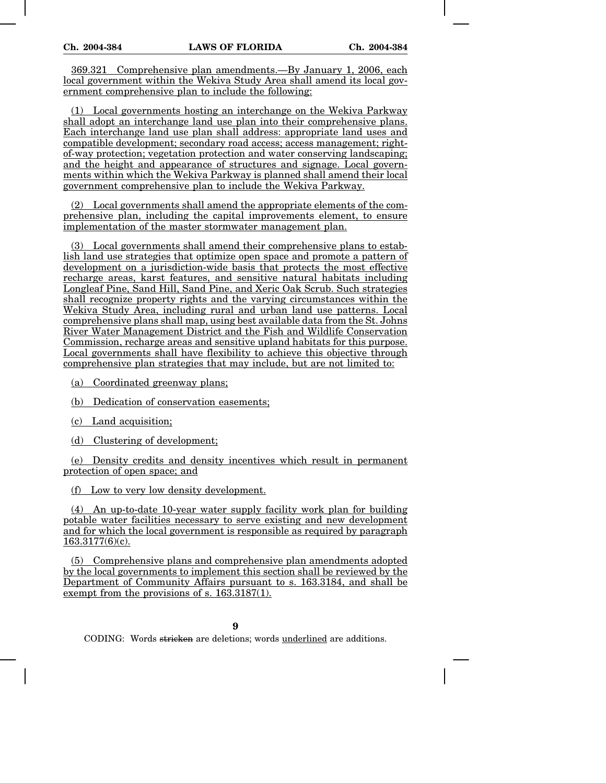369.321 Comprehensive plan amendments.—By January 1, 2006, each local government within the Wekiva Study Area shall amend its local government comprehensive plan to include the following:

(1) Local governments hosting an interchange on the Wekiva Parkway shall adopt an interchange land use plan into their comprehensive plans. Each interchange land use plan shall address: appropriate land uses and compatible development; secondary road access; access management; rightof-way protection; vegetation protection and water conserving landscaping; and the height and appearance of structures and signage. Local governments within which the Wekiva Parkway is planned shall amend their local government comprehensive plan to include the Wekiva Parkway.

(2) Local governments shall amend the appropriate elements of the comprehensive plan, including the capital improvements element, to ensure implementation of the master stormwater management plan.

(3) Local governments shall amend their comprehensive plans to establish land use strategies that optimize open space and promote a pattern of development on a jurisdiction-wide basis that protects the most effective recharge areas, karst features, and sensitive natural habitats including Longleaf Pine, Sand Hill, Sand Pine, and Xeric Oak Scrub. Such strategies shall recognize property rights and the varying circumstances within the Wekiva Study Area, including rural and urban land use patterns. Local comprehensive plans shall map, using best available data from the St. Johns River Water Management District and the Fish and Wildlife Conservation Commission, recharge areas and sensitive upland habitats for this purpose. Local governments shall have flexibility to achieve this objective through comprehensive plan strategies that may include, but are not limited to:

(a) Coordinated greenway plans;

(b) Dedication of conservation easements;

(c) Land acquisition;

(d) Clustering of development;

(e) Density credits and density incentives which result in permanent protection of open space; and

(f) Low to very low density development.

(4) An up-to-date 10-year water supply facility work plan for building potable water facilities necessary to serve existing and new development and for which the local government is responsible as required by paragraph 163.3177(6)(c).

(5) Comprehensive plans and comprehensive plan amendments adopted by the local governments to implement this section shall be reviewed by the Department of Community Affairs pursuant to s. 163.3184, and shall be exempt from the provisions of s. 163.3187(1).

**9**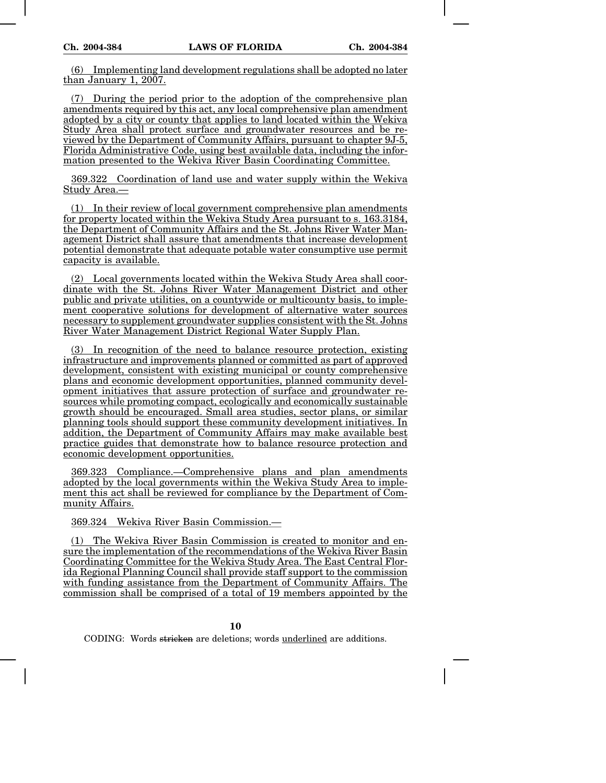(6) Implementing land development regulations shall be adopted no later than January 1, 2007.

(7) During the period prior to the adoption of the comprehensive plan amendments required by this act, any local comprehensive plan amendment adopted by a city or county that applies to land located within the Wekiva Study Area shall protect surface and groundwater resources and be reviewed by the Department of Community Affairs, pursuant to chapter 9J-5, Florida Administrative Code, using best available data, including the information presented to the Wekiva River Basin Coordinating Committee.

369.322 Coordination of land use and water supply within the Wekiva Study Area.—

(1) In their review of local government comprehensive plan amendments for property located within the Wekiva Study Area pursuant to s. 163.3184, the Department of Community Affairs and the St. Johns River Water Management District shall assure that amendments that increase development potential demonstrate that adequate potable water consumptive use permit capacity is available.

(2) Local governments located within the Wekiva Study Area shall coordinate with the St. Johns River Water Management District and other public and private utilities, on a countywide or multicounty basis, to implement cooperative solutions for development of alternative water sources necessary to supplement groundwater supplies consistent with the St. Johns River Water Management District Regional Water Supply Plan.

(3) In recognition of the need to balance resource protection, existing infrastructure and improvements planned or committed as part of approved development, consistent with existing municipal or county comprehensive plans and economic development opportunities, planned community development initiatives that assure protection of surface and groundwater resources while promoting compact, ecologically and economically sustainable growth should be encouraged. Small area studies, sector plans, or similar planning tools should support these community development initiatives. In addition, the Department of Community Affairs may make available best practice guides that demonstrate how to balance resource protection and economic development opportunities.

369.323 Compliance.—Comprehensive plans and plan amendments adopted by the local governments within the Wekiva Study Area to implement this act shall be reviewed for compliance by the Department of Community Affairs.

369.324 Wekiva River Basin Commission.—

(1) The Wekiva River Basin Commission is created to monitor and ensure the implementation of the recommendations of the Wekiva River Basin Coordinating Committee for the Wekiva Study Area. The East Central Florida Regional Planning Council shall provide staff support to the commission with funding assistance from the Department of Community Affairs. The commission shall be comprised of a total of 19 members appointed by the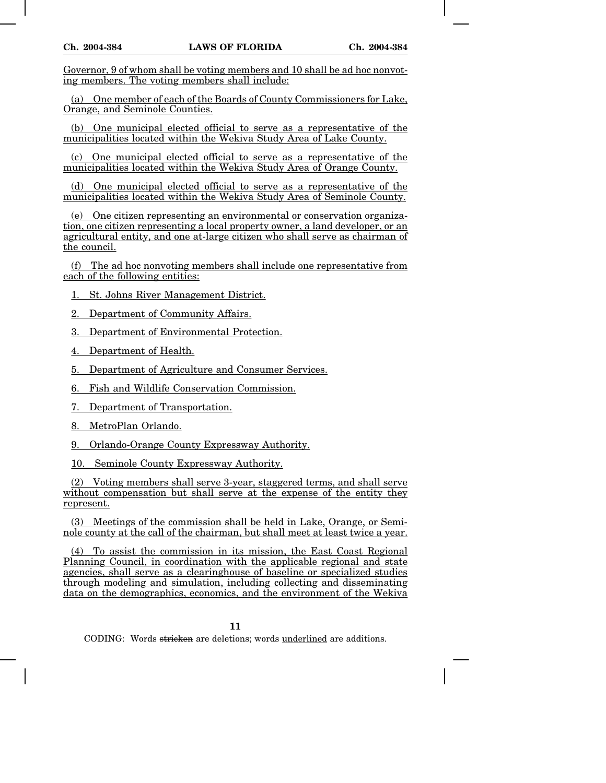Governor, 9 of whom shall be voting members and 10 shall be ad hoc nonvoting members. The voting members shall include:

(a) One member of each of the Boards of County Commissioners for Lake, Orange, and Seminole Counties.

(b) One municipal elected official to serve as a representative of the municipalities located within the Wekiva Study Area of Lake County.

(c) One municipal elected official to serve as a representative of the municipalities located within the Wekiva Study Area of Orange County.

(d) One municipal elected official to serve as a representative of the municipalities located within the Wekiva Study Area of Seminole County.

(e) One citizen representing an environmental or conservation organization, one citizen representing a local property owner, a land developer, or an agricultural entity, and one at-large citizen who shall serve as chairman of the council.

(f) The ad hoc nonvoting members shall include one representative from each of the following entities:

1. St. Johns River Management District.

2. Department of Community Affairs.

3. Department of Environmental Protection.

4. Department of Health.

5. Department of Agriculture and Consumer Services.

6. Fish and Wildlife Conservation Commission.

7. Department of Transportation.

8. MetroPlan Orlando.

9. Orlando-Orange County Expressway Authority.

10. Seminole County Expressway Authority.

(2) Voting members shall serve 3-year, staggered terms, and shall serve without compensation but shall serve at the expense of the entity they represent.

(3) Meetings of the commission shall be held in Lake, Orange, or Seminole county at the call of the chairman, but shall meet at least twice a year.

(4) To assist the commission in its mission, the East Coast Regional Planning Council, in coordination with the applicable regional and state agencies, shall serve as a clearinghouse of baseline or specialized studies through modeling and simulation, including collecting and disseminating data on the demographics, economics, and the environment of the Wekiva

### **11**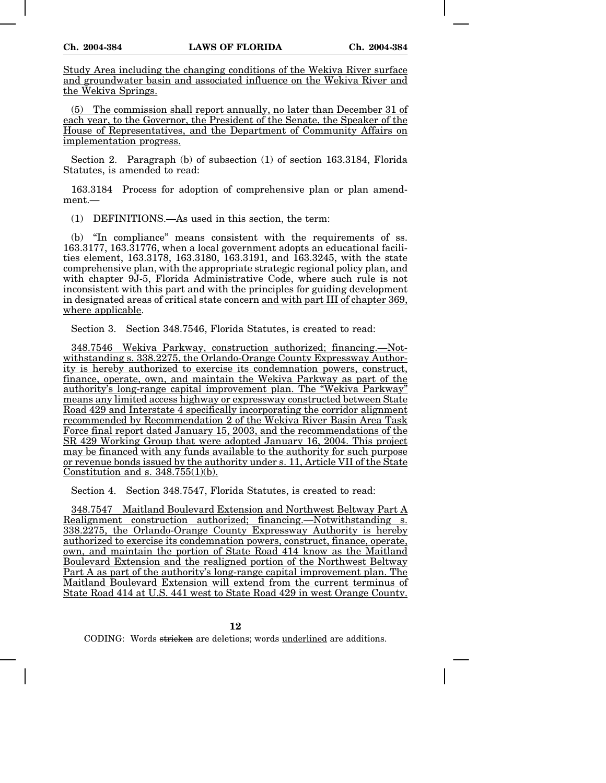Study Area including the changing conditions of the Wekiva River surface and groundwater basin and associated influence on the Wekiva River and the Wekiva Springs.

(5) The commission shall report annually, no later than December 31 of each year, to the Governor, the President of the Senate, the Speaker of the House of Representatives, and the Department of Community Affairs on implementation progress.

Section 2. Paragraph (b) of subsection (1) of section 163.3184, Florida Statutes, is amended to read:

163.3184 Process for adoption of comprehensive plan or plan amendment.—

(1) DEFINITIONS.—As used in this section, the term:

(b) "In compliance" means consistent with the requirements of ss. 163.3177, 163.31776, when a local government adopts an educational facilities element, 163.3178, 163.3180, 163.3191, and 163.3245, with the state comprehensive plan, with the appropriate strategic regional policy plan, and with chapter 9J-5, Florida Administrative Code, where such rule is not inconsistent with this part and with the principles for guiding development in designated areas of critical state concern and with part III of chapter 369, where applicable.

Section 3. Section 348.7546, Florida Statutes, is created to read:

348.7546 Wekiva Parkway, construction authorized; financing.—Notwithstanding s. 338.2275, the Orlando-Orange County Expressway Authority is hereby authorized to exercise its condemnation powers, construct, finance, operate, own, and maintain the Wekiva Parkway as part of the authority's long-range capital improvement plan. The "Wekiva Parkway" means any limited access highway or expressway constructed between State Road 429 and Interstate 4 specifically incorporating the corridor alignment recommended by Recommendation 2 of the Wekiva River Basin Area Task Force final report dated January 15, 2003, and the recommendations of the SR 429 Working Group that were adopted January 16, 2004. This project may be financed with any funds available to the authority for such purpose or revenue bonds issued by the authority under s. 11, Article VII of the State Constitution and s.  $348.755(1)(b)$ .

Section 4. Section 348.7547, Florida Statutes, is created to read:

348.7547 Maitland Boulevard Extension and Northwest Beltway Part A Realignment construction authorized; financing.—Notwithstanding s. 338.2275, the Orlando-Orange County Expressway Authority is hereby authorized to exercise its condemnation powers, construct, finance, operate, own, and maintain the portion of State Road 414 know as the Maitland Boulevard Extension and the realigned portion of the Northwest Beltway Part A as part of the authority's long-range capital improvement plan. The Maitland Boulevard Extension will extend from the current terminus of State Road 414 at U.S. 441 west to State Road 429 in west Orange County.